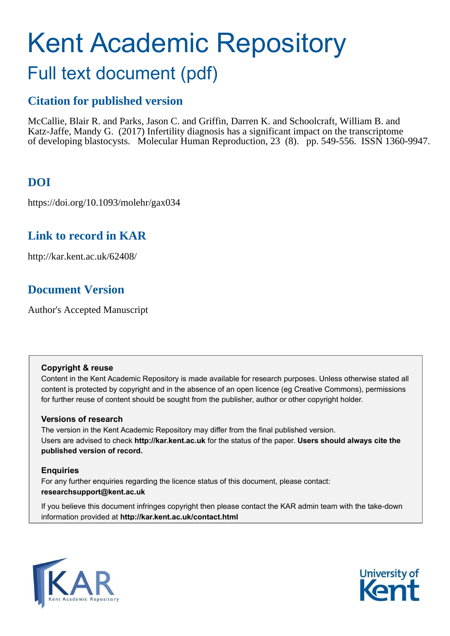# Kent Academic Repository

## Full text document (pdf)

## **Citation for published version**

McCallie, Blair R. and Parks, Jason C. and Griffin, Darren K. and Schoolcraft, William B. and Katz-Jaffe, Mandy G. (2017) Infertility diagnosis has a significant impact on the transcriptome of developing blastocysts. Molecular Human Reproduction, 23 (8). pp. 549-556. ISSN 1360-9947.

## **DOI**

https://doi.org/10.1093/molehr/gax034

## **Link to record in KAR**

http://kar.kent.ac.uk/62408/

## **Document Version**

Author's Accepted Manuscript

#### **Copyright & reuse**

Content in the Kent Academic Repository is made available for research purposes. Unless otherwise stated all content is protected by copyright and in the absence of an open licence (eg Creative Commons), permissions for further reuse of content should be sought from the publisher, author or other copyright holder.

#### **Versions of research**

The version in the Kent Academic Repository may differ from the final published version. Users are advised to check **http://kar.kent.ac.uk** for the status of the paper. **Users should always cite the published version of record.**

#### **Enquiries**

For any further enquiries regarding the licence status of this document, please contact: **researchsupport@kent.ac.uk**

If you believe this document infringes copyright then please contact the KAR admin team with the take-down information provided at **http://kar.kent.ac.uk/contact.html**



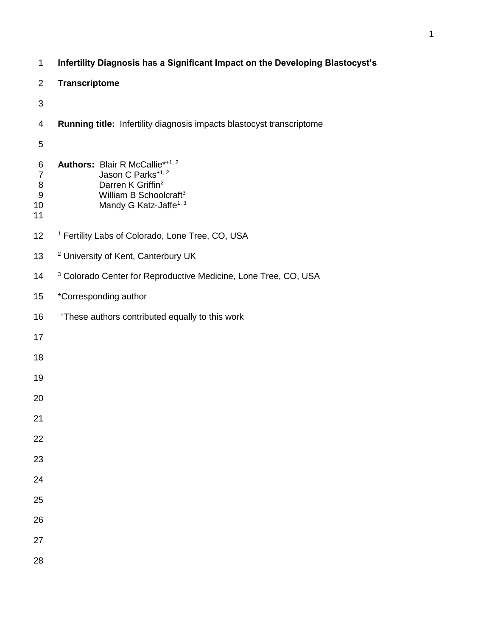| $\mathbf 1$                                              | Infertility Diagnosis has a Significant Impact on the Developing Blastocyst's                                                                                                  |  |  |  |  |
|----------------------------------------------------------|--------------------------------------------------------------------------------------------------------------------------------------------------------------------------------|--|--|--|--|
| $\overline{2}$                                           | <b>Transcriptome</b>                                                                                                                                                           |  |  |  |  |
| 3                                                        |                                                                                                                                                                                |  |  |  |  |
| 4                                                        | Running title: Infertility diagnosis impacts blastocyst transcriptome                                                                                                          |  |  |  |  |
| 5                                                        |                                                                                                                                                                                |  |  |  |  |
| 6<br>$\overline{7}$<br>8<br>$\boldsymbol{9}$<br>10<br>11 | Authors: Blair R McCallie*+1, 2<br>Jason C Parks <sup>+1, 2</sup><br>Darren K Griffin <sup>2</sup><br>William B Schoolcraft <sup>3</sup><br>Mandy G Katz-Jaffe <sup>1, 3</sup> |  |  |  |  |
| 12                                                       | <sup>1</sup> Fertility Labs of Colorado, Lone Tree, CO, USA                                                                                                                    |  |  |  |  |
| 13                                                       | <sup>2</sup> University of Kent, Canterbury UK                                                                                                                                 |  |  |  |  |
| 14                                                       | <sup>3</sup> Colorado Center for Reproductive Medicine, Lone Tree, CO, USA                                                                                                     |  |  |  |  |
| 15                                                       | *Corresponding author                                                                                                                                                          |  |  |  |  |
| 16                                                       | *These authors contributed equally to this work                                                                                                                                |  |  |  |  |
| 17                                                       |                                                                                                                                                                                |  |  |  |  |
| 18                                                       |                                                                                                                                                                                |  |  |  |  |
| 19                                                       |                                                                                                                                                                                |  |  |  |  |
| 20                                                       |                                                                                                                                                                                |  |  |  |  |
| 21                                                       |                                                                                                                                                                                |  |  |  |  |
| 22                                                       |                                                                                                                                                                                |  |  |  |  |
| 23                                                       |                                                                                                                                                                                |  |  |  |  |
| 24                                                       |                                                                                                                                                                                |  |  |  |  |
| 25                                                       |                                                                                                                                                                                |  |  |  |  |
| 26                                                       |                                                                                                                                                                                |  |  |  |  |
| 27                                                       |                                                                                                                                                                                |  |  |  |  |
| 28                                                       |                                                                                                                                                                                |  |  |  |  |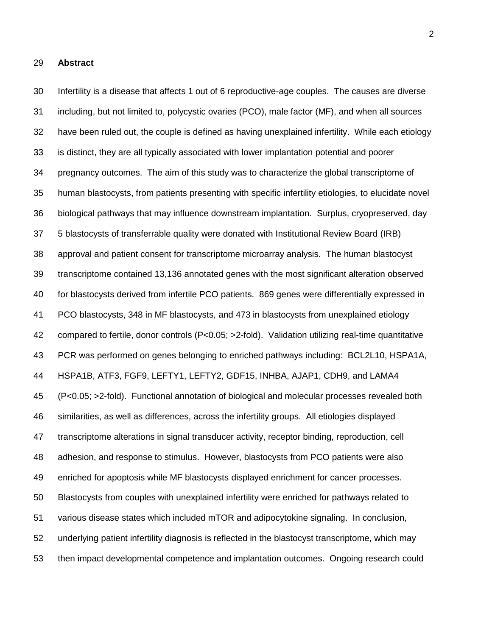#### **Abstract**

 Infertility is a disease that affects 1 out of 6 reproductive-age couples. The causes are diverse including, but not limited to, polycystic ovaries (PCO), male factor (MF), and when all sources have been ruled out, the couple is defined as having unexplained infertility. While each etiology is distinct, they are all typically associated with lower implantation potential and poorer pregnancy outcomes. The aim of this study was to characterize the global transcriptome of human blastocysts, from patients presenting with specific infertility etiologies, to elucidate novel biological pathways that may influence downstream implantation. Surplus, cryopreserved, day 5 blastocysts of transferrable quality were donated with Institutional Review Board (IRB) approval and patient consent for transcriptome microarray analysis. The human blastocyst transcriptome contained 13,136 annotated genes with the most significant alteration observed for blastocysts derived from infertile PCO patients. 869 genes were differentially expressed in PCO blastocysts, 348 in MF blastocysts, and 473 in blastocysts from unexplained etiology compared to fertile, donor controls (P<0.05; >2-fold). Validation utilizing real-time quantitative PCR was performed on genes belonging to enriched pathways including: BCL2L10, HSPA1A, HSPA1B, ATF3, FGF9, LEFTY1, LEFTY2, GDF15, INHBA, AJAP1, CDH9, and LAMA4 (P<0.05; >2-fold). Functional annotation of biological and molecular processes revealed both similarities, as well as differences, across the infertility groups. All etiologies displayed transcriptome alterations in signal transducer activity, receptor binding, reproduction, cell adhesion, and response to stimulus. However, blastocysts from PCO patients were also enriched for apoptosis while MF blastocysts displayed enrichment for cancer processes. Blastocysts from couples with unexplained infertility were enriched for pathways related to various disease states which included mTOR and adipocytokine signaling. In conclusion, underlying patient infertility diagnosis is reflected in the blastocyst transcriptome, which may then impact developmental competence and implantation outcomes. Ongoing research could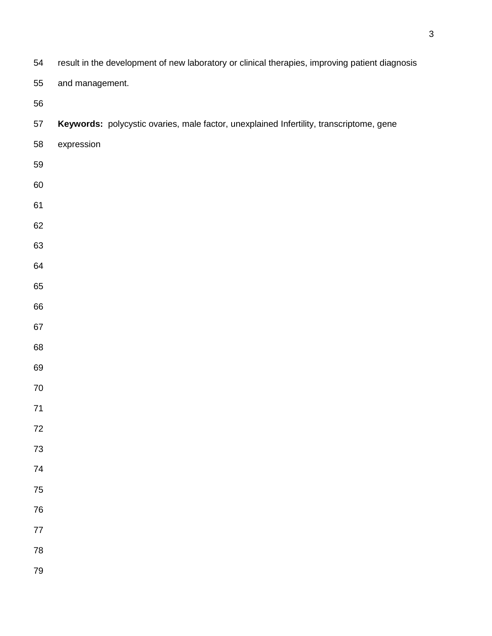| 54         | result in the development of new laboratory or clinical therapies, improving patient diagnosis |  |  |  |  |
|------------|------------------------------------------------------------------------------------------------|--|--|--|--|
| 55         | and management.                                                                                |  |  |  |  |
| 56         |                                                                                                |  |  |  |  |
| 57         | Keywords: polycystic ovaries, male factor, unexplained Infertility, transcriptome, gene        |  |  |  |  |
| 58         | expression                                                                                     |  |  |  |  |
| 59         |                                                                                                |  |  |  |  |
| 60         |                                                                                                |  |  |  |  |
| 61         |                                                                                                |  |  |  |  |
| 62         |                                                                                                |  |  |  |  |
| 63         |                                                                                                |  |  |  |  |
| 64         |                                                                                                |  |  |  |  |
| 65         |                                                                                                |  |  |  |  |
| 66         |                                                                                                |  |  |  |  |
| 67         |                                                                                                |  |  |  |  |
| 68         |                                                                                                |  |  |  |  |
| 69         |                                                                                                |  |  |  |  |
| $70\,$     |                                                                                                |  |  |  |  |
| $71$       |                                                                                                |  |  |  |  |
| $72\,$     |                                                                                                |  |  |  |  |
| $73\,$     |                                                                                                |  |  |  |  |
| 74         |                                                                                                |  |  |  |  |
| 75         |                                                                                                |  |  |  |  |
| ${\bf 76}$ |                                                                                                |  |  |  |  |
| $77\,$     |                                                                                                |  |  |  |  |
| ${\bf 78}$ |                                                                                                |  |  |  |  |
| 79         |                                                                                                |  |  |  |  |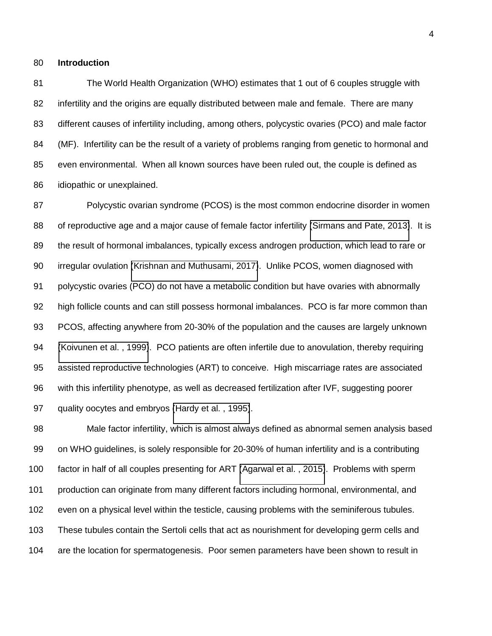#### **Introduction**

 The World Health Organization (WHO) estimates that 1 out of 6 couples struggle with infertility and the origins are equally distributed between male and female. There are many different causes of infertility including, among others, polycystic ovaries (PCO) and male factor 84 (MF). Infertility can be the result of a variety of problems ranging from genetic to hormonal and even environmental. When all known sources have been ruled out, the couple is defined as idiopathic or unexplained.

 Polycystic ovarian syndrome (PCOS) is the most common endocrine disorder in women 88 of reproductive age and a major cause of female factor infertility [\(Sirmans and Pate, 2013\)](#page-19-0). It is the result of hormonal imbalances, typically excess androgen production, which lead to rare or irregular ovulation [\(Krishnan and Muthusami, 2017\)](#page-17-0). Unlike PCOS, women diagnosed with polycystic ovaries (PCO) do not have a metabolic condition but have ovaries with abnormally high follicle counts and can still possess hormonal imbalances. PCO is far more common than PCOS, affecting anywhere from 20-30% of the population and the causes are largely unknown [\(Koivunen et al. , 1999\)](#page-17-1). PCO patients are often infertile due to anovulation, thereby requiring assisted reproductive technologies (ART) to conceive. High miscarriage rates are associated with this infertility phenotype, as well as decreased fertilization after IVF, suggesting poorer quality oocytes and embryos [\(Hardy et al. , 1995\)](#page-17-2).

 Male factor infertility, which is almost always defined as abnormal semen analysis based on WHO guidelines, is solely responsible for 20-30% of human infertility and is a contributing factor in half of all couples presenting for ART [\(Agarwal et al. , 2015\)](#page-15-0). Problems with sperm production can originate from many different factors including hormonal, environmental, and even on a physical level within the testicle, causing problems with the seminiferous tubules. These tubules contain the Sertoli cells that act as nourishment for developing germ cells and are the location for spermatogenesis. Poor semen parameters have been shown to result in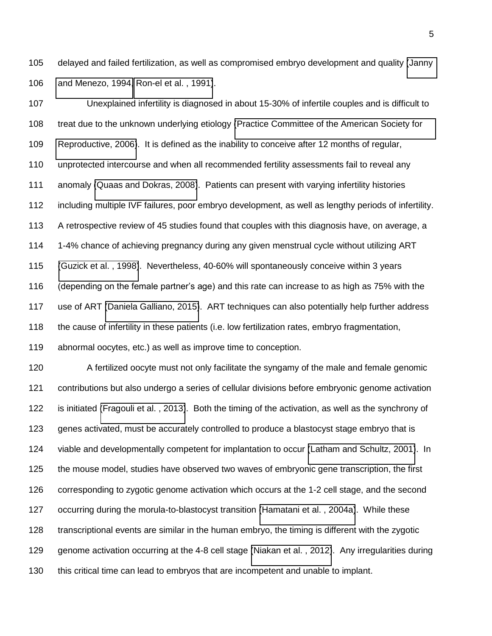delayed and failed fertilization, as well as compromised embryo development and quality [\(Janny](#page-17-3)  [and Menezo, 1994,](#page-17-3) [Ron-el et al. , 1991\)](#page-18-0).

 Unexplained infertility is diagnosed in about 15-30% of infertile couples and is difficult to treat due to the unknown underlying etiology [\(Practice Committee of the American Society for](#page-18-1)  [Reproductive, 2006\)](#page-18-1). It is defined as the inability to conceive after 12 months of regular, unprotected intercourse and when all recommended fertility assessments fail to reveal any anomaly [\(Quaas and Dokras, 2008\)](#page-18-2). Patients can present with varying infertility histories including multiple IVF failures, poor embryo development, as well as lengthy periods of infertility. 113 A retrospective review of 45 studies found that couples with this diagnosis have, on average, a 1-4% chance of achieving pregnancy during any given menstrual cycle without utilizing ART [\(Guzick et al. , 1998\)](#page-16-0). Nevertheless, 40-60% will spontaneously conceive within 3 years (depending on the female partner's age) and this rate can increase to as high as 75% with the use of ART [\(Daniela Galliano, 2015\)](#page-16-1). ART techniques can also potentially help further address 118 the cause of infertility in these patients (i.e. low fertilization rates, embryo fragmentation, abnormal oocytes, etc.) as well as improve time to conception.

 A fertilized oocyte must not only facilitate the syngamy of the male and female genomic contributions but also undergo a series of cellular divisions before embryonic genome activation is initiated [\(Fragouli et al. , 2013\)](#page-16-2). Both the timing of the activation, as well as the synchrony of genes activated, must be accurately controlled to produce a blastocyst stage embryo that is viable and developmentally competent for implantation to occur [\(Latham and Schultz, 2001\)](#page-17-4). In the mouse model, studies have observed two waves of embryonic gene transcription, the first corresponding to zygotic genome activation which occurs at the 1-2 cell stage, and the second occurring during the morula-to-blastocyst transition [\(Hamatani et al. , 2004a\)](#page-16-3). While these transcriptional events are similar in the human embryo, the timing is different with the zygotic genome activation occurring at the 4-8 cell stage [\(Niakan et al. , 2012\)](#page-18-3). Any irregularities during this critical time can lead to embryos that are incompetent and unable to implant.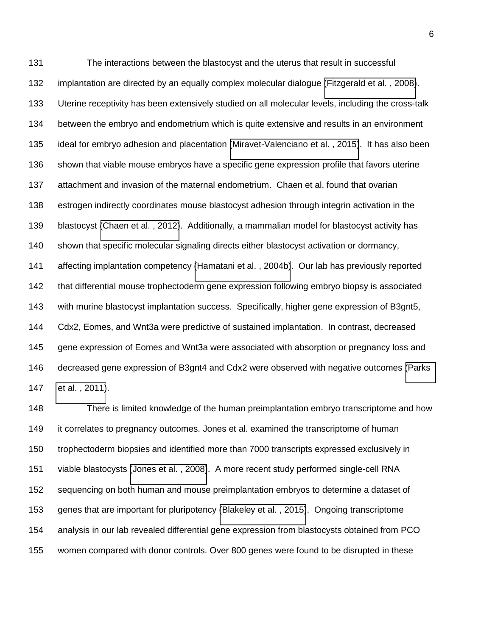The interactions between the blastocyst and the uterus that result in successful implantation are directed by an equally complex molecular dialogue [\(Fitzgerald et al. , 2008\)](#page-16-4). Uterine receptivity has been extensively studied on all molecular levels, including the cross-talk between the embryo and endometrium which is quite extensive and results in an environment ideal for embryo adhesion and placentation [\(Miravet-Valenciano et al. , 2015\)](#page-18-4). It has also been shown that viable mouse embryos have a specific gene expression profile that favors uterine attachment and invasion of the maternal endometrium. Chaen et al. found that ovarian estrogen indirectly coordinates mouse blastocyst adhesion through integrin activation in the blastocyst [\(Chaen et al. , 2012\)](#page-15-1). Additionally, a mammalian model for blastocyst activity has shown that specific molecular signaling directs either blastocyst activation or dormancy, affecting implantation competency [\(Hamatani et al. , 2004b\)](#page-16-5). Our lab has previously reported that differential mouse trophectoderm gene expression following embryo biopsy is associated with murine blastocyst implantation success. Specifically, higher gene expression of B3gnt5, Cdx2, Eomes, and Wnt3a were predictive of sustained implantation. In contrast, decreased gene expression of Eomes and Wnt3a were associated with absorption or pregnancy loss and decreased gene expression of B3gnt4 and Cdx2 were observed with negative outcomes [\(Parks](#page-18-5)  [et al. , 2011\)](#page-18-5).

 There is limited knowledge of the human preimplantation embryo transcriptome and how it correlates to pregnancy outcomes. Jones et al. examined the transcriptome of human trophectoderm biopsies and identified more than 7000 transcripts expressed exclusively in viable blastocysts [\(Jones et al. , 2008\)](#page-17-5). A more recent study performed single-cell RNA sequencing on both human and mouse preimplantation embryos to determine a dataset of genes that are important for pluripotency [\(Blakeley et al. , 2015\)](#page-15-2). Ongoing transcriptome analysis in our lab revealed differential gene expression from blastocysts obtained from PCO women compared with donor controls. Over 800 genes were found to be disrupted in these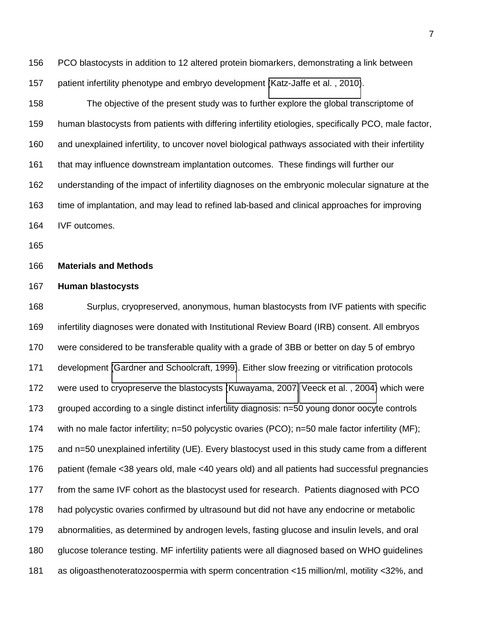PCO blastocysts in addition to 12 altered protein biomarkers, demonstrating a link between patient infertility phenotype and embryo development [\(Katz-Jaffe et al. , 2010\)](#page-17-6).

 The objective of the present study was to further explore the global transcriptome of human blastocysts from patients with differing infertility etiologies, specifically PCO, male factor, and unexplained infertility, to uncover novel biological pathways associated with their infertility that may influence downstream implantation outcomes. These findings will further our understanding of the impact of infertility diagnoses on the embryonic molecular signature at the time of implantation, and may lead to refined lab-based and clinical approaches for improving IVF outcomes.

#### **Materials and Methods**

#### **Human blastocysts**

 Surplus, cryopreserved, anonymous, human blastocysts from IVF patients with specific infertility diagnoses were donated with Institutional Review Board (IRB) consent. All embryos were considered to be transferable quality with a grade of 3BB or better on day 5 of embryo development [\(Gardner and Schoolcraft, 1999\)](#page-16-6). Either slow freezing or vitrification protocols were used to cryopreserve the blastocysts [\(Kuwayama, 2007,](#page-17-7) [Veeck et al. , 2004\)](#page-19-1) which were grouped according to a single distinct infertility diagnosis: n=50 young donor oocyte controls with no male factor infertility; n=50 polycystic ovaries (PCO); n=50 male factor infertility (MF); and n=50 unexplained infertility (UE). Every blastocyst used in this study came from a different patient (female <38 years old, male <40 years old) and all patients had successful pregnancies from the same IVF cohort as the blastocyst used for research. Patients diagnosed with PCO had polycystic ovaries confirmed by ultrasound but did not have any endocrine or metabolic abnormalities, as determined by androgen levels, fasting glucose and insulin levels, and oral glucose tolerance testing. MF infertility patients were all diagnosed based on WHO guidelines as oligoasthenoteratozoospermia with sperm concentration <15 million/ml, motility <32%, and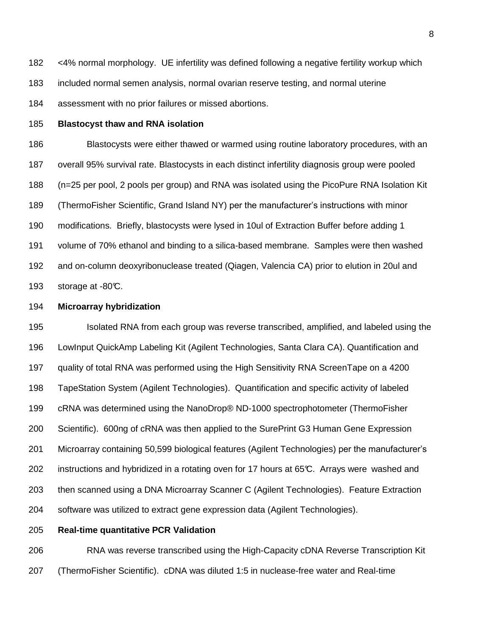<4% normal morphology. UE infertility was defined following a negative fertility workup which included normal semen analysis, normal ovarian reserve testing, and normal uterine assessment with no prior failures or missed abortions.

#### **Blastocyst thaw and RNA isolation**

 Blastocysts were either thawed or warmed using routine laboratory procedures, with an overall 95% survival rate. Blastocysts in each distinct infertility diagnosis group were pooled (n=25 per pool, 2 pools per group) and RNA was isolated using the PicoPure RNA Isolation Kit (ThermoFisher Scientific, Grand Island NY) per the manufacturer's instructions with minor modifications. Briefly, blastocysts were lysed in 10ul of Extraction Buffer before adding 1 volume of 70% ethanol and binding to a silica-based membrane. Samples were then washed and on-column deoxyribonuclease treated (Qiagen, Valencia CA) prior to elution in 20ul and 193 storage at  $-80^{\circ}$ .

#### **Microarray hybridization**

 Isolated RNA from each group was reverse transcribed, amplified, and labeled using the LowInput QuickAmp Labeling Kit (Agilent Technologies, Santa Clara CA). Quantification and quality of total RNA was performed using the High Sensitivity RNA ScreenTape on a 4200 TapeStation System (Agilent Technologies). Quantification and specific activity of labeled cRNA was determined using the NanoDrop® ND-1000 spectrophotometer (ThermoFisher Scientific). 600ng of cRNA was then applied to the SurePrint G3 Human Gene Expression Microarray containing 50,599 biological features (Agilent Technologies) per the manufacturer's 202 instructions and hybridized in a rotating oven for 17 hours at 65°C. Arrays were washed and then scanned using a DNA Microarray Scanner C (Agilent Technologies). Feature Extraction software was utilized to extract gene expression data (Agilent Technologies).

**Real-time quantitative PCR Validation** 

 RNA was reverse transcribed using the High-Capacity cDNA Reverse Transcription Kit (ThermoFisher Scientific). cDNA was diluted 1:5 in nuclease-free water and Real-time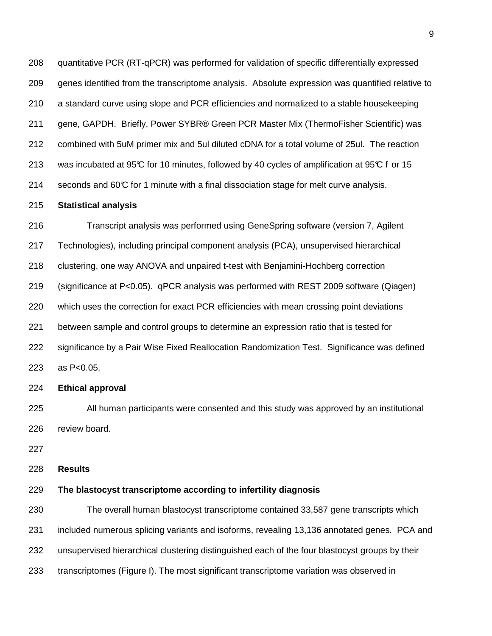quantitative PCR (RT-qPCR) was performed for validation of specific differentially expressed genes identified from the transcriptome analysis. Absolute expression was quantified relative to a standard curve using slope and PCR efficiencies and normalized to a stable housekeeping gene, GAPDH. Briefly, Power SYBR® Green PCR Master Mix (ThermoFisher Scientific) was combined with 5uM primer mix and 5ul diluted cDNA for a total volume of 25ul. The reaction 213 was incubated at 95°C for 10 minutes, followed by 40 cycles of amplification at 95°C f or 15 214 seconds and 60°C for 1 minute with a final dissociation stage for melt curve analysis.

#### **Statistical analysis**

 Transcript analysis was performed using GeneSpring software (version 7, Agilent Technologies), including principal component analysis (PCA), unsupervised hierarchical clustering, one way ANOVA and unpaired t-test with Benjamini-Hochberg correction (significance at P<0.05). qPCR analysis was performed with REST 2009 software (Qiagen) which uses the correction for exact PCR efficiencies with mean crossing point deviations between sample and control groups to determine an expression ratio that is tested for significance by a Pair Wise Fixed Reallocation Randomization Test. Significance was defined as P<0.05.

**Ethical approval** 

 All human participants were consented and this study was approved by an institutional review board.

**Results**

#### **The blastocyst transcriptome according to infertility diagnosis**

 The overall human blastocyst transcriptome contained 33,587 gene transcripts which included numerous splicing variants and isoforms, revealing 13,136 annotated genes. PCA and unsupervised hierarchical clustering distinguished each of the four blastocyst groups by their transcriptomes (Figure I). The most significant transcriptome variation was observed in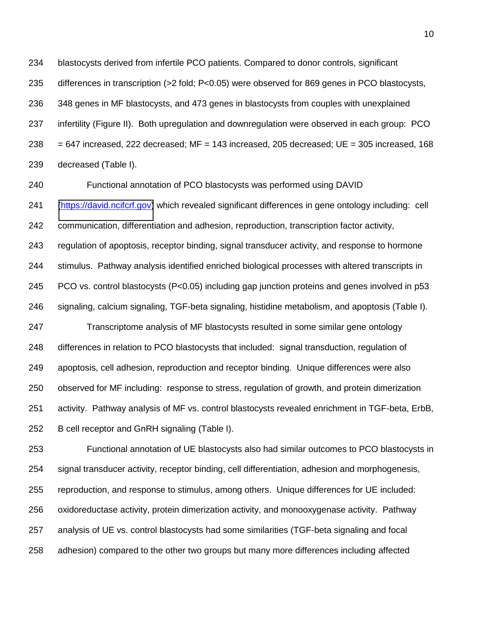blastocysts derived from infertile PCO patients. Compared to donor controls, significant differences in transcription (>2 fold; P<0.05) were observed for 869 genes in PCO blastocysts, 348 genes in MF blastocysts, and 473 genes in blastocysts from couples with unexplained infertility (Figure II). Both upregulation and downregulation were observed in each group: PCO  $238 = 647$  increased, 222 decreased; MF = 143 increased, 205 decreased; UE = 305 increased, 168 decreased (Table I).

Functional annotation of PCO blastocysts was performed using DAVID

 [\(https://david.ncifcrf.gov\)](https://david.ncifcrf.gov/) which revealed significant differences in gene ontology including: cell communication, differentiation and adhesion, reproduction, transcription factor activity, regulation of apoptosis, receptor binding, signal transducer activity, and response to hormone stimulus. Pathway analysis identified enriched biological processes with altered transcripts in PCO vs. control blastocysts (P<0.05) including gap junction proteins and genes involved in p53 signaling, calcium signaling, TGF-beta signaling, histidine metabolism, and apoptosis (Table I). Transcriptome analysis of MF blastocysts resulted in some similar gene ontology differences in relation to PCO blastocysts that included: signal transduction, regulation of apoptosis, cell adhesion, reproduction and receptor binding. Unique differences were also

 observed for MF including: response to stress, regulation of growth, and protein dimerization activity. Pathway analysis of MF vs. control blastocysts revealed enrichment in TGF-beta, ErbB,

B cell receptor and GnRH signaling (Table I).

 Functional annotation of UE blastocysts also had similar outcomes to PCO blastocysts in signal transducer activity, receptor binding, cell differentiation, adhesion and morphogenesis, reproduction, and response to stimulus, among others. Unique differences for UE included: oxidoreductase activity, protein dimerization activity, and monooxygenase activity. Pathway analysis of UE vs. control blastocysts had some similarities (TGF-beta signaling and focal adhesion) compared to the other two groups but many more differences including affected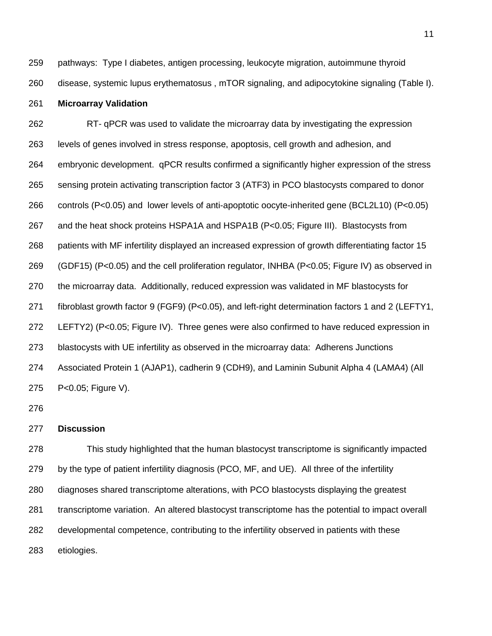pathways: Type I diabetes, antigen processing, leukocyte migration, autoimmune thyroid disease, systemic lupus erythematosus , mTOR signaling, and adipocytokine signaling (Table I).

#### **Microarray Validation**

 RT- qPCR was used to validate the microarray data by investigating the expression levels of genes involved in stress response, apoptosis, cell growth and adhesion, and embryonic development. qPCR results confirmed a significantly higher expression of the stress sensing protein activating transcription factor 3 (ATF3) in PCO blastocysts compared to donor controls (P<0.05) and lower levels of anti-apoptotic oocyte-inherited gene (BCL2L10) (P<0.05) and the heat shock proteins HSPA1A and HSPA1B (P<0.05; Figure III). Blastocysts from patients with MF infertility displayed an increased expression of growth differentiating factor 15 (GDF15) (P<0.05) and the cell proliferation regulator, INHBA (P<0.05; Figure IV) as observed in the microarray data. Additionally, reduced expression was validated in MF blastocysts for fibroblast growth factor 9 (FGF9) (P<0.05), and left-right determination factors 1 and 2 (LEFTY1, LEFTY2) (P<0.05; Figure IV). Three genes were also confirmed to have reduced expression in blastocysts with UE infertility as observed in the microarray data: Adherens Junctions Associated Protein 1 (AJAP1), cadherin 9 (CDH9), and Laminin Subunit Alpha 4 (LAMA4) (All P<0.05; Figure V).

#### **Discussion**

 This study highlighted that the human blastocyst transcriptome is significantly impacted by the type of patient infertility diagnosis (PCO, MF, and UE). All three of the infertility diagnoses shared transcriptome alterations, with PCO blastocysts displaying the greatest transcriptome variation. An altered blastocyst transcriptome has the potential to impact overall developmental competence, contributing to the infertility observed in patients with these etiologies.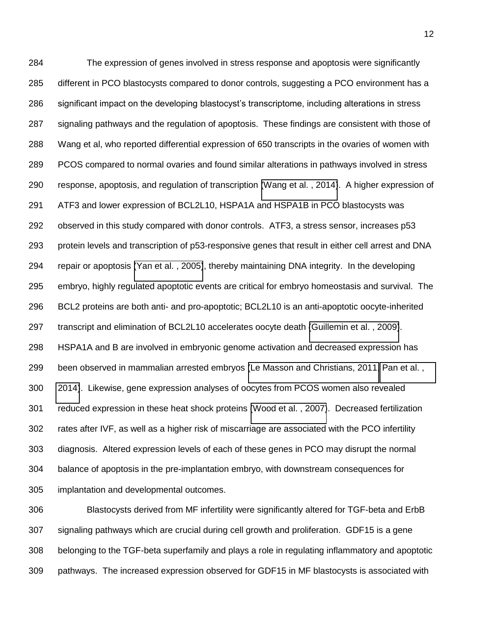The expression of genes involved in stress response and apoptosis were significantly different in PCO blastocysts compared to donor controls, suggesting a PCO environment has a significant impact on the developing blastocyst's transcriptome, including alterations in stress signaling pathways and the regulation of apoptosis. These findings are consistent with those of Wang et al, who reported differential expression of 650 transcripts in the ovaries of women with PCOS compared to normal ovaries and found similar alterations in pathways involved in stress response, apoptosis, and regulation of transcription [\(Wang et al. , 2014\)](#page-19-2). A higher expression of ATF3 and lower expression of BCL2L10, HSPA1A and HSPA1B in PCO blastocysts was observed in this study compared with donor controls. ATF3, a stress sensor, increases p53 protein levels and transcription of p53-responsive genes that result in either cell arrest and DNA repair or apoptosis [\(Yan et al. , 2005\)](#page-19-3), thereby maintaining DNA integrity. In the developing embryo, highly regulated apoptotic events are critical for embryo homeostasis and survival. The BCL2 proteins are both anti- and pro-apoptotic; BCL2L10 is an anti-apoptotic oocyte-inherited transcript and elimination of BCL2L10 accelerates oocyte death [\(Guillemin et al. , 2009\)](#page-16-7). HSPA1A and B are involved in embryonic genome activation and decreased expression has been observed in mammalian arrested embryos [\(Le Masson and Christians, 2011,](#page-17-8) [Pan et al. ,](#page-18-6)  [2014\)](#page-18-6). Likewise, gene expression analyses of oocytes from PCOS women also revealed reduced expression in these heat shock proteins [\(Wood et al. , 2007\)](#page-19-4). Decreased fertilization rates after IVF, as well as a higher risk of miscarriage are associated with the PCO infertility diagnosis. Altered expression levels of each of these genes in PCO may disrupt the normal balance of apoptosis in the pre-implantation embryo, with downstream consequences for implantation and developmental outcomes.

 Blastocysts derived from MF infertility were significantly altered for TGF-beta and ErbB signaling pathways which are crucial during cell growth and proliferation. GDF15 is a gene belonging to the TGF-beta superfamily and plays a role in regulating inflammatory and apoptotic pathways. The increased expression observed for GDF15 in MF blastocysts is associated with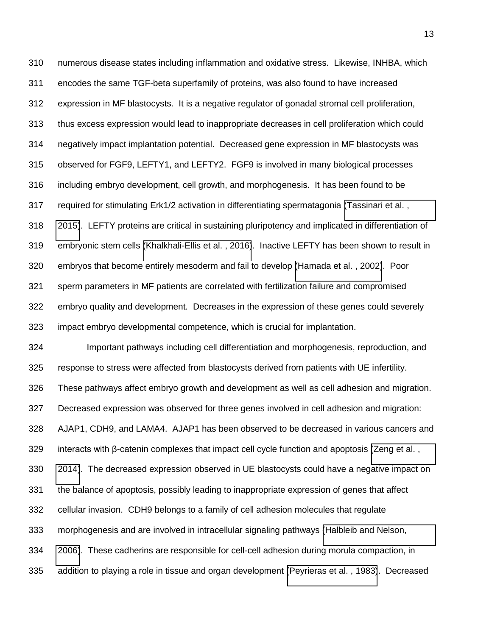numerous disease states including inflammation and oxidative stress. Likewise, INHBA, which encodes the same TGF-beta superfamily of proteins, was also found to have increased expression in MF blastocysts. It is a negative regulator of gonadal stromal cell proliferation, thus excess expression would lead to inappropriate decreases in cell proliferation which could negatively impact implantation potential. Decreased gene expression in MF blastocysts was observed for FGF9, LEFTY1, and LEFTY2. FGF9 is involved in many biological processes including embryo development, cell growth, and morphogenesis. It has been found to be required for stimulating Erk1/2 activation in differentiating spermatagonia [\(Tassinari et al. ,](#page-19-5)  [2015\)](#page-19-5). LEFTY proteins are critical in sustaining pluripotency and implicated in differentiation of embryonic stem cells [\(Khalkhali-Ellis et al. , 2016\)](#page-17-9). Inactive LEFTY has been shown to result in embryos that become entirely mesoderm and fail to develop [\(Hamada et al. , 2002\)](#page-16-8). Poor sperm parameters in MF patients are correlated with fertilization failure and compromised embryo quality and development. Decreases in the expression of these genes could severely impact embryo developmental competence, which is crucial for implantation.

 Important pathways including cell differentiation and morphogenesis, reproduction, and response to stress were affected from blastocysts derived from patients with UE infertility. These pathways affect embryo growth and development as well as cell adhesion and migration. Decreased expression was observed for three genes involved in cell adhesion and migration: AJAP1, CDH9, and LAMA4. AJAP1 has been observed to be decreased in various cancers and interacts with  $\beta$ -catenin complexes that impact cell cycle function and apoptosis (Zeng et al., [2014\)](#page-19-6). The decreased expression observed in UE blastocysts could have a negative impact on the balance of apoptosis, possibly leading to inappropriate expression of genes that affect cellular invasion. CDH9 belongs to a family of cell adhesion molecules that regulate morphogenesis and are involved in intracellular signaling pathways [\(Halbleib and Nelson,](#page-16-9)  [2006\)](#page-16-9). These cadherins are responsible for cell-cell adhesion during morula compaction, in addition to playing a role in tissue and organ development [\(Peyrieras et al. , 1983\)](#page-18-7). Decreased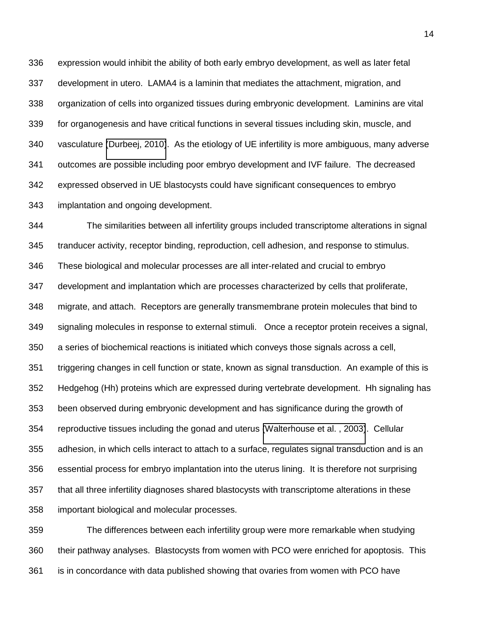expression would inhibit the ability of both early embryo development, as well as later fetal development in utero. LAMA4 is a laminin that mediates the attachment, migration, and organization of cells into organized tissues during embryonic development. Laminins are vital for organogenesis and have critical functions in several tissues including skin, muscle, and vasculature [\(Durbeej, 2010\)](#page-16-10). As the etiology of UE infertility is more ambiguous, many adverse outcomes are possible including poor embryo development and IVF failure. The decreased expressed observed in UE blastocysts could have significant consequences to embryo implantation and ongoing development.

 The similarities between all infertility groups included transcriptome alterations in signal tranducer activity, receptor binding, reproduction, cell adhesion, and response to stimulus. These biological and molecular processes are all inter-related and crucial to embryo development and implantation which are processes characterized by cells that proliferate, migrate, and attach. Receptors are generally transmembrane protein molecules that bind to signaling molecules in response to external stimuli. Once a receptor protein receives a signal, a series of biochemical reactions is initiated which conveys those signals across a cell, triggering changes in cell function or state, known as signal transduction. An example of this is Hedgehog (Hh) proteins which are expressed during vertebrate development. Hh signaling has been observed during embryonic development and has significance during the growth of reproductive tissues including the gonad and uterus [\(Walterhouse et al. , 2003\)](#page-19-7). Cellular adhesion, in which cells interact to attach to a surface, regulates signal transduction and is an essential process for embryo implantation into the uterus lining. It is therefore not surprising that all three infertility diagnoses shared blastocysts with transcriptome alterations in these important biological and molecular processes.

 The differences between each infertility group were more remarkable when studying their pathway analyses. Blastocysts from women with PCO were enriched for apoptosis. This is in concordance with data published showing that ovaries from women with PCO have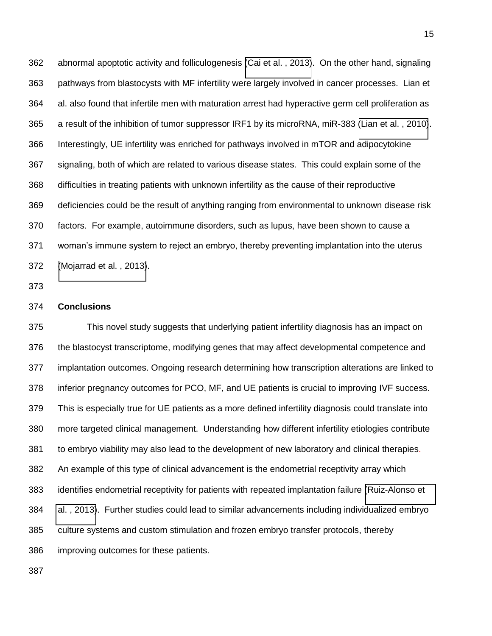abnormal apoptotic activity and folliculogenesis [\(Cai et al. , 2013\)](#page-15-3). On the other hand, signaling pathways from blastocysts with MF infertility were largely involved in cancer processes. Lian et al. also found that infertile men with maturation arrest had hyperactive germ cell proliferation as a result of the inhibition of tumor suppressor IRF1 by its microRNA, miR-383 [\(Lian et al. , 2010\)](#page-18-8). Interestingly, UE infertility was enriched for pathways involved in mTOR and adipocytokine signaling, both of which are related to various disease states. This could explain some of the difficulties in treating patients with unknown infertility as the cause of their reproductive deficiencies could be the result of anything ranging from environmental to unknown disease risk factors. For example, autoimmune disorders, such as lupus, have been shown to cause a woman's immune system to reject an embryo, thereby preventing implantation into the uterus [\(Mojarrad et al. , 2013\)](#page-18-9).

#### **Conclusions**

<span id="page-15-3"></span><span id="page-15-2"></span><span id="page-15-1"></span><span id="page-15-0"></span> This novel study suggests that underlying patient infertility diagnosis has an impact on the blastocyst transcriptome, modifying genes that may affect developmental competence and implantation outcomes. Ongoing research determining how transcription alterations are linked to inferior pregnancy outcomes for PCO, MF, and UE patients is crucial to improving IVF success. This is especially true for UE patients as a more defined infertility diagnosis could translate into more targeted clinical management. Understanding how different infertility etiologies contribute to embryo viability may also lead to the development of new laboratory and clinical therapies. An example of this type of clinical advancement is the endometrial receptivity array which identifies endometrial receptivity for patients with repeated implantation failure [\(Ruiz-Alonso et](#page-18-10)  [al. , 2013\)](#page-18-10). Further studies could lead to similar advancements including individualized embryo culture systems and custom stimulation and frozen embryo transfer protocols, thereby improving outcomes for these patients.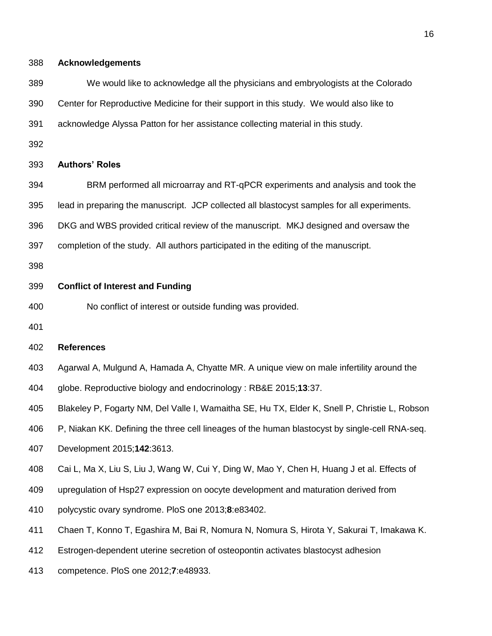<span id="page-16-1"></span>**Acknowledgements** 

We would like to acknowledge all the physicians and embryologists at the Colorado

<span id="page-16-10"></span>Center for Reproductive Medicine for their support in this study. We would also like to

<span id="page-16-4"></span>acknowledge Alyssa Patton for her assistance collecting material in this study.

#### **Authors' Roles**

<span id="page-16-2"></span>BRM performed all microarray and RT-qPCR experiments and analysis and took the

lead in preparing the manuscript. JCP collected all blastocyst samples for all experiments.

<span id="page-16-6"></span>DKG and WBS provided critical review of the manuscript. MKJ designed and oversaw the

completion of the study. All authors participated in the editing of the manuscript.

#### <span id="page-16-7"></span>**Conflict of Interest and Funding**

No conflict of interest or outside funding was provided.

<span id="page-16-0"></span>

#### **References**

- <span id="page-16-9"></span>Agarwal A, Mulgund A, Hamada A, Chyatte MR. A unique view on male infertility around the
- globe. Reproductive biology and endocrinology : RB&E 2015;**13**:37.
- <span id="page-16-8"></span>Blakeley P, Fogarty NM, Del Valle I, Wamaitha SE, Hu TX, Elder K, Snell P, Christie L, Robson
- P, Niakan KK. Defining the three cell lineages of the human blastocyst by single-cell RNA-seq.
- <span id="page-16-3"></span>Development 2015;**142**:3613.
- Cai L, Ma X, Liu S, Liu J, Wang W, Cui Y, Ding W, Mao Y, Chen H, Huang J et al. Effects of
- <span id="page-16-5"></span>upregulation of Hsp27 expression on oocyte development and maturation derived from
- polycystic ovary syndrome. PloS one 2013;**8**:e83402.
- Chaen T, Konno T, Egashira M, Bai R, Nomura N, Nomura S, Hirota Y, Sakurai T, Imakawa K.
- Estrogen-dependent uterine secretion of osteopontin activates blastocyst adhesion
- competence. PloS one 2012;**7**:e48933.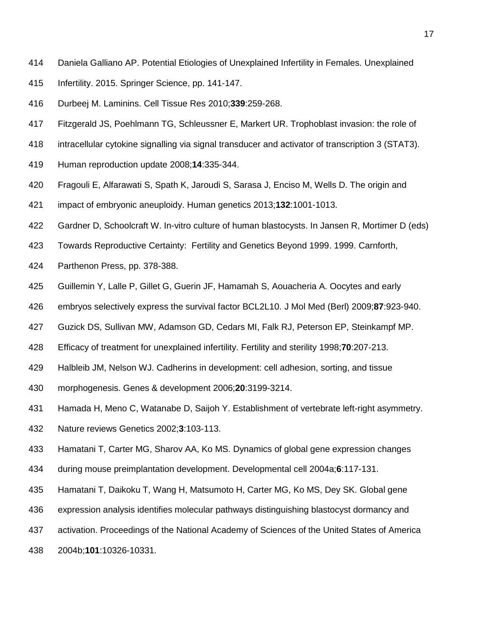- <span id="page-17-2"></span>Daniela Galliano AP. Potential Etiologies of Unexplained Infertility in Females. Unexplained
- Infertility. 2015. Springer Science, pp. 141-147.
- Durbeej M. Laminins. Cell Tissue Res 2010;**339**:259-268.
- <span id="page-17-3"></span>Fitzgerald JS, Poehlmann TG, Schleussner E, Markert UR. Trophoblast invasion: the role of
- intracellular cytokine signalling via signal transducer and activator of transcription 3 (STAT3).
- <span id="page-17-5"></span>Human reproduction update 2008;**14**:335-344.
- Fragouli E, Alfarawati S, Spath K, Jaroudi S, Sarasa J, Enciso M, Wells D. The origin and
- <span id="page-17-6"></span>impact of embryonic aneuploidy. Human genetics 2013;**132**:1001-1013.
- Gardner D, Schoolcraft W. In-vitro culture of human blastocysts. In Jansen R, Mortimer D (eds)
- Towards Reproductive Certainty: Fertility and Genetics Beyond 1999. 1999. Carnforth,
- <span id="page-17-9"></span>Parthenon Press, pp. 378-388.
- Guillemin Y, Lalle P, Gillet G, Guerin JF, Hamamah S, Aouacheria A. Oocytes and early
- embryos selectively express the survival factor BCL2L10. J Mol Med (Berl) 2009;**87**:923-940.
- <span id="page-17-1"></span>Guzick DS, Sullivan MW, Adamson GD, Cedars MI, Falk RJ, Peterson EP, Steinkampf MP.
- Efficacy of treatment for unexplained infertility. Fertility and sterility 1998;**70**:207-213.
- Halbleib JM, Nelson WJ. Cadherins in development: cell adhesion, sorting, and tissue
- <span id="page-17-0"></span>morphogenesis. Genes & development 2006;**20**:3199-3214.
- Hamada H, Meno C, Watanabe D, Saijoh Y. Establishment of vertebrate left-right asymmetry.
- <span id="page-17-7"></span>Nature reviews Genetics 2002;**3**:103-113.
- Hamatani T, Carter MG, Sharov AA, Ko MS. Dynamics of global gene expression changes
- <span id="page-17-4"></span>during mouse preimplantation development. Developmental cell 2004a;**6**:117-131.
- <span id="page-17-8"></span>Hamatani T, Daikoku T, Wang H, Matsumoto H, Carter MG, Ko MS, Dey SK. Global gene
- expression analysis identifies molecular pathways distinguishing blastocyst dormancy and
- activation. Proceedings of the National Academy of Sciences of the United States of America
- 2004b;**101**:10326-10331.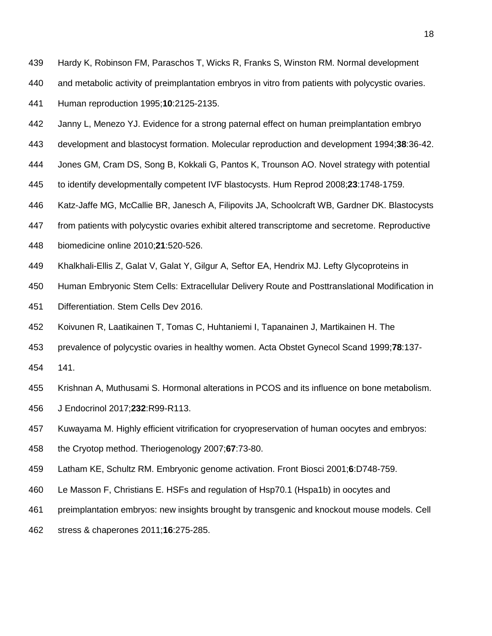<span id="page-18-8"></span>Hardy K, Robinson FM, Paraschos T, Wicks R, Franks S, Winston RM. Normal development

and metabolic activity of preimplantation embryos in vitro from patients with polycystic ovaries.

Human reproduction 1995;**10**:2125-2135.

- <span id="page-18-4"></span>Janny L, Menezo YJ. Evidence for a strong paternal effect on human preimplantation embryo
- development and blastocyst formation. Molecular reproduction and development 1994;**38**:36-42.
- <span id="page-18-9"></span>Jones GM, Cram DS, Song B, Kokkali G, Pantos K, Trounson AO. Novel strategy with potential
- to identify developmentally competent IVF blastocysts. Hum Reprod 2008;**23**:1748-1759.
- <span id="page-18-3"></span>Katz-Jaffe MG, McCallie BR, Janesch A, Filipovits JA, Schoolcraft WB, Gardner DK. Blastocysts
- 447 from patients with polycystic ovaries exhibit altered transcriptome and secretome. Reproductive
- <span id="page-18-6"></span>biomedicine online 2010;**21**:520-526.
- Khalkhali-Ellis Z, Galat V, Galat Y, Gilgur A, Seftor EA, Hendrix MJ. Lefty Glycoproteins in
- Human Embryonic Stem Cells: Extracellular Delivery Route and Posttranslational Modification in
- <span id="page-18-5"></span>Differentiation. Stem Cells Dev 2016.
- Koivunen R, Laatikainen T, Tomas C, Huhtaniemi I, Tapanainen J, Martikainen H. The
- <span id="page-18-7"></span>prevalence of polycystic ovaries in healthy women. Acta Obstet Gynecol Scand 1999;**78**:137-
- 141.
- Krishnan A, Muthusami S. Hormonal alterations in PCOS and its influence on bone metabolism.
- <span id="page-18-1"></span>J Endocrinol 2017;**232**:R99-R113.
- Kuwayama M. Highly efficient vitrification for cryopreservation of human oocytes and embryos:
- <span id="page-18-2"></span>the Cryotop method. Theriogenology 2007;**67**:73-80.
- Latham KE, Schultz RM. Embryonic genome activation. Front Biosci 2001;**6**:D748-759.
- <span id="page-18-0"></span>Le Masson F, Christians E. HSFs and regulation of Hsp70.1 (Hspa1b) in oocytes and
- preimplantation embryos: new insights brought by transgenic and knockout mouse models. Cell
- <span id="page-18-10"></span>stress & chaperones 2011;**16**:275-285.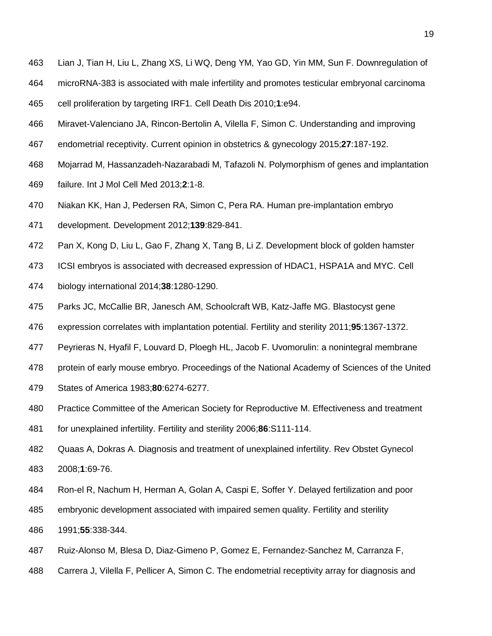- Lian J, Tian H, Liu L, Zhang XS, Li WQ, Deng YM, Yao GD, Yin MM, Sun F. Downregulation of
- microRNA-383 is associated with male infertility and promotes testicular embryonal carcinoma
- <span id="page-19-0"></span>cell proliferation by targeting IRF1. Cell Death Dis 2010;**1**:e94.
- Miravet-Valenciano JA, Rincon-Bertolin A, Vilella F, Simon C. Understanding and improving
- <span id="page-19-5"></span>endometrial receptivity. Current opinion in obstetrics & gynecology 2015;**27**:187-192.
- Mojarrad M, Hassanzadeh-Nazarabadi M, Tafazoli N. Polymorphism of genes and implantation
- failure. Int J Mol Cell Med 2013;**2**:1-8.
- <span id="page-19-1"></span>Niakan KK, Han J, Pedersen RA, Simon C, Pera RA. Human pre-implantation embryo
- development. Development 2012;**139**:829-841.
- Pan X, Kong D, Liu L, Gao F, Zhang X, Tang B, Li Z. Development block of golden hamster
- <span id="page-19-7"></span>ICSI embryos is associated with decreased expression of HDAC1, HSPA1A and MYC. Cell
- biology international 2014;**38**:1280-1290.
- <span id="page-19-2"></span>Parks JC, McCallie BR, Janesch AM, Schoolcraft WB, Katz-Jaffe MG. Blastocyst gene
- expression correlates with implantation potential. Fertility and sterility 2011;**95**:1367-1372.
- Peyrieras N, Hyafil F, Louvard D, Ploegh HL, Jacob F. Uvomorulin: a nonintegral membrane
- <span id="page-19-4"></span>protein of early mouse embryo. Proceedings of the National Academy of Sciences of the United
- States of America 1983;**80**:6274-6277.
- Practice Committee of the American Society for Reproductive M. Effectiveness and treatment
- <span id="page-19-3"></span>for unexplained infertility. Fertility and sterility 2006;**86**:S111-114.
- <span id="page-19-6"></span> Quaas A, Dokras A. Diagnosis and treatment of unexplained infertility. Rev Obstet Gynecol 2008;**1**:69-76.
- Ron-el R, Nachum H, Herman A, Golan A, Caspi E, Soffer Y. Delayed fertilization and poor
- embryonic development associated with impaired semen quality. Fertility and sterility
- 1991;**55**:338-344.
- Ruiz-Alonso M, Blesa D, Diaz-Gimeno P, Gomez E, Fernandez-Sanchez M, Carranza F,
- Carrera J, Vilella F, Pellicer A, Simon C. The endometrial receptivity array for diagnosis and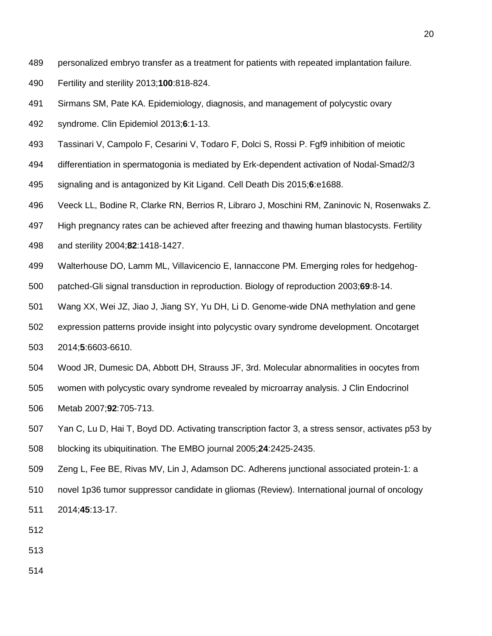- personalized embryo transfer as a treatment for patients with repeated implantation failure.
- Fertility and sterility 2013;**100**:818-824.
- Sirmans SM, Pate KA. Epidemiology, diagnosis, and management of polycystic ovary
- syndrome. Clin Epidemiol 2013;**6**:1-13.
- Tassinari V, Campolo F, Cesarini V, Todaro F, Dolci S, Rossi P. Fgf9 inhibition of meiotic
- differentiation in spermatogonia is mediated by Erk-dependent activation of Nodal-Smad2/3
- signaling and is antagonized by Kit Ligand. Cell Death Dis 2015;**6**:e1688.
- Veeck LL, Bodine R, Clarke RN, Berrios R, Libraro J, Moschini RM, Zaninovic N, Rosenwaks Z.
- High pregnancy rates can be achieved after freezing and thawing human blastocysts. Fertility
- and sterility 2004;**82**:1418-1427.
- Walterhouse DO, Lamm ML, Villavicencio E, Iannaccone PM. Emerging roles for hedgehog-
- patched-Gli signal transduction in reproduction. Biology of reproduction 2003;**69**:8-14.
- Wang XX, Wei JZ, Jiao J, Jiang SY, Yu DH, Li D. Genome-wide DNA methylation and gene
- expression patterns provide insight into polycystic ovary syndrome development. Oncotarget
- 2014;**5**:6603-6610.
- Wood JR, Dumesic DA, Abbott DH, Strauss JF, 3rd. Molecular abnormalities in oocytes from
- women with polycystic ovary syndrome revealed by microarray analysis. J Clin Endocrinol
- Metab 2007;**92**:705-713.
- Yan C, Lu D, Hai T, Boyd DD. Activating transcription factor 3, a stress sensor, activates p53 by blocking its ubiquitination. The EMBO journal 2005;**24**:2425-2435.
- Zeng L, Fee BE, Rivas MV, Lin J, Adamson DC. Adherens junctional associated protein-1: a novel 1p36 tumor suppressor candidate in gliomas (Review). International journal of oncology 2014;**45**:13-17.
-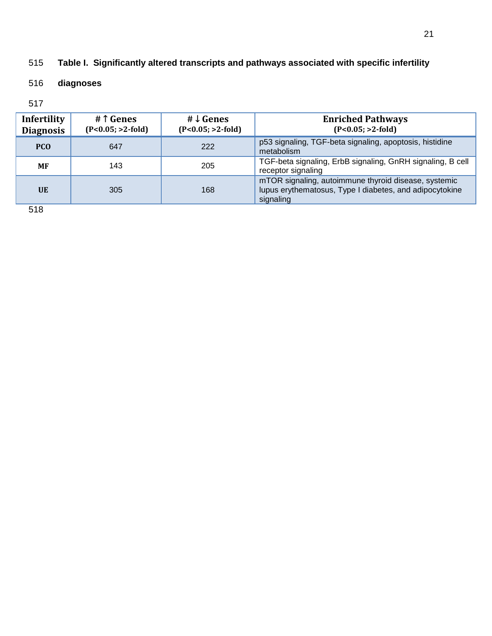## 515 **Table I. Significantly altered transcripts and pathways associated with specific infertility**

### 516 **diagnoses**

## 517

| Infertility<br><b>Diagnosis</b> | # 1 Genes<br>$(P<0.05; >2-fold)$ | # $\downarrow$ Genes<br>$(P<0.05; >2-fold)$ | <b>Enriched Pathways</b><br>$(P<0.05; >2-fold)$                                                                              |
|---------------------------------|----------------------------------|---------------------------------------------|------------------------------------------------------------------------------------------------------------------------------|
| <b>PCO</b>                      | 647                              | 222                                         | p53 signaling, TGF-beta signaling, apoptosis, histidine<br>metabolism                                                        |
| MF                              | 143                              | 205                                         | TGF-beta signaling, ErbB signaling, GnRH signaling, B cell<br>receptor signaling                                             |
| <b>UE</b>                       | 305                              | 168                                         | mTOR signaling, autoimmune thyroid disease, systemic<br>lupus erythematosus, Type I diabetes, and adipocytokine<br>signaling |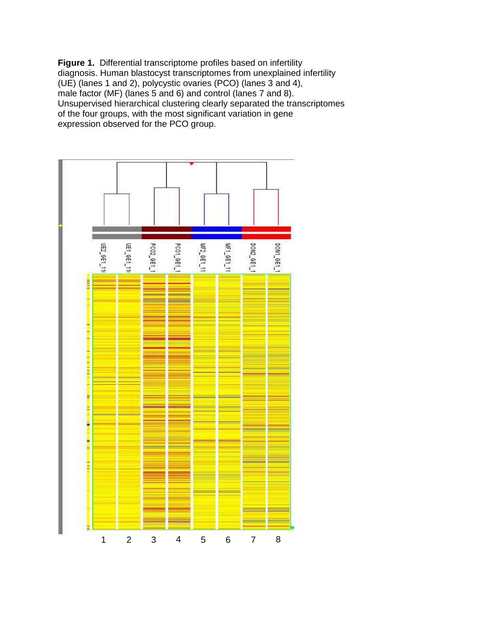**Figure 1.** Differential transcriptome profiles based on infertility diagnosis. Human blastocyst transcriptomes from unexplained infertility (UE) (lanes 1 and 2), polycystic ovaries (PCO) (lanes 3 and 4), male factor (MF) (lanes 5 and 6) and control (lanes 7 and 8). Unsupervised hierarchical clustering clearly separated the transcriptomes of the four groups, with the most significant variation in gene expression observed for the PCO group.

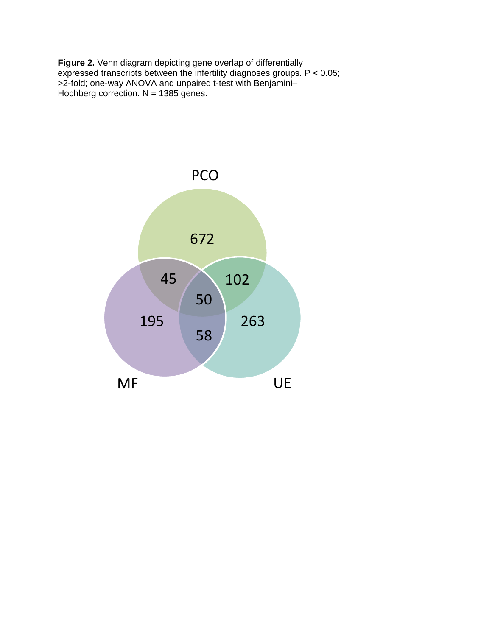**Figure 2.** Venn diagram depicting gene overlap of differentially expressed transcripts between the infertility diagnoses groups. P < 0.05; >2-fold; one-way ANOVA and unpaired t-test with Benjamini– Hochberg correction. N = 1385 genes.

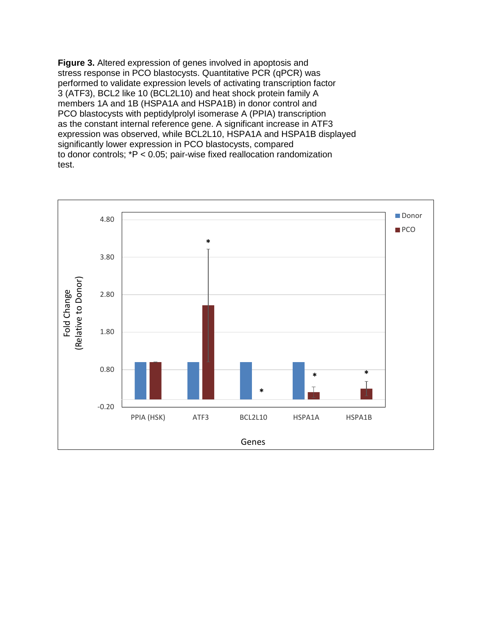**Figure 3.** Altered expression of genes involved in apoptosis and stress response in PCO blastocysts. Quantitative PCR (qPCR) was performed to validate expression levels of activating transcription factor 3 (ATF3), BCL2 like 10 (BCL2L10) and heat shock protein family A members 1A and 1B (HSPA1A and HSPA1B) in donor control and PCO blastocysts with peptidylprolyl isomerase A (PPIA) transcription as the constant internal reference gene. A significant increase in ATF3 expression was observed, while BCL2L10, HSPA1A and HSPA1B displayed significantly lower expression in PCO blastocysts, compared to donor controls; \*P < 0.05; pair-wise fixed reallocation randomization test.

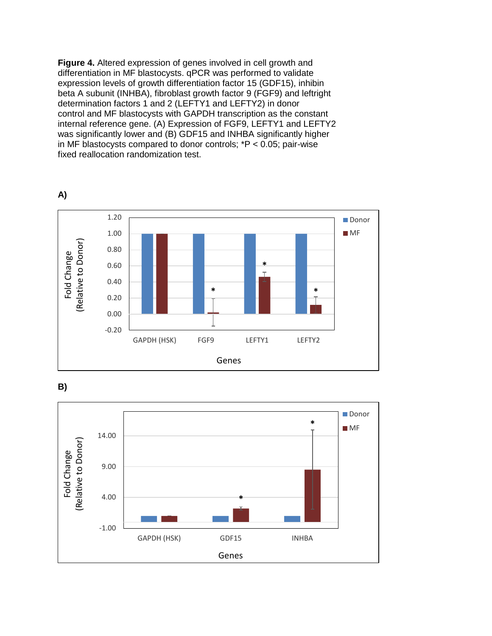**Figure 4.** Altered expression of genes involved in cell growth and differentiation in MF blastocysts. qPCR was performed to validate expression levels of growth differentiation factor 15 (GDF15), inhibin beta A subunit (INHBA), fibroblast growth factor 9 (FGF9) and leftright determination factors 1 and 2 (LEFTY1 and LEFTY2) in donor control and MF blastocysts with GAPDH transcription as the constant internal reference gene. (A) Expression of FGF9, LEFTY1 and LEFTY2 was significantly lower and (B) GDF15 and INHBA significantly higher in MF blastocysts compared to donor controls; \*P < 0.05; pair-wise fixed reallocation randomization test.



**A)**



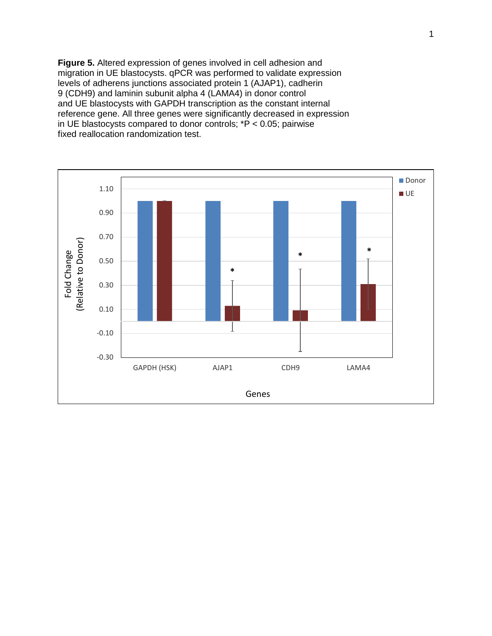**Figure 5.** Altered expression of genes involved in cell adhesion and migration in UE blastocysts. qPCR was performed to validate expression levels of adherens junctions associated protein 1 (AJAP1), cadherin 9 (CDH9) and laminin subunit alpha 4 (LAMA4) in donor control and UE blastocysts with GAPDH transcription as the constant internal reference gene. All three genes were significantly decreased in expression in UE blastocysts compared to donor controls;  $*P < 0.05$ ; pairwise fixed reallocation randomization test.